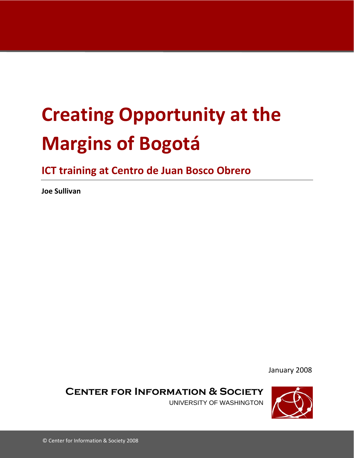# **Creating Opportunity at the Margins of Bogotá**

**ICT training at Centro de Juan Bosco Obrero**

**Joe Sullivan**

January 2008

**Center for Information & Society**

UNIVERSITY OF WASHINGTON

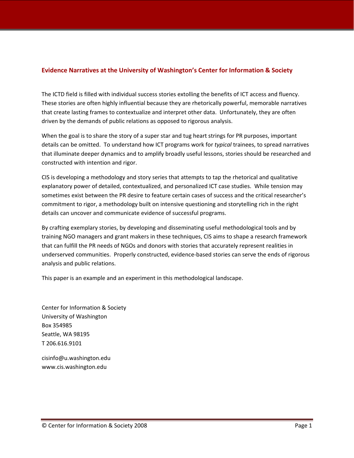## **Evidence Narratives at the University of Washington's Center for Information & Society**

The ICTD field is filled with individual success stories extolling the benefits of ICT access and fluency. These stories are often highly influential because they are rhetorically powerful, memorable narratives that create lasting frames to contextualize and interpret other data. Unfortunately, they are often driven by the demands of public relations as opposed to rigorous analysis.

When the goal is to share the story of a super star and tug heart strings for PR purposes, important details can be omitted. To understand how ICT programs work for *typical* trainees, to spread narratives that illuminate deeper dynamics and to amplify broadly useful lessons, stories should be researched and constructed with intention and rigor.

CIS is developing a methodology and story series that attempts to tap the rhetorical and qualitative explanatory power of detailed, contextualized, and personalized ICT case studies. While tension may sometimes exist between the PR desire to feature certain cases of success and the critical researcher's commitment to rigor, a methodology built on intensive questioning and storytelling rich in the right details can uncover and communicate evidence of successful programs.

By crafting exemplary stories, by developing and disseminating useful methodological tools and by training NGO managers and grant makers in these techniques, CIS aims to shape a research framework that can fulfill the PR needs of NGOs and donors with stories that accurately represent realities in underserved communities. Properly constructed, evidence‐based stories can serve the ends of rigorous analysis and public relations.

This paper is an example and an experiment in this methodological landscape.

Center for Information & Society University of Washington Box 354985 Seattle, WA 98195 T 206.616.9101

cisinfo@u.washington.edu www.cis.washington.edu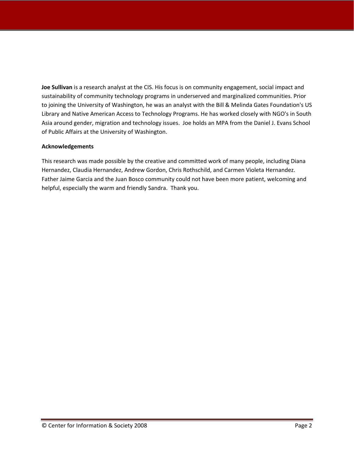**Joe Sullivan** is a research analyst at the CIS. His focus is on community engagement, social impact and sustainability of community technology programs in underserved and marginalized communities. Prior to joining the University of Washington, he was an analyst with the Bill & Melinda Gates Foundation's US Library and Native American Access to Technology Programs. He has worked closely with NGO's in South Asia around gender, migration and technology issues. Joe holds an MPA from the Daniel J. Evans School of Public Affairs at the University of Washington.

#### **Acknowledgements**

This research was made possible by the creative and committed work of many people, including Diana Hernandez, Claudia Hernandez, Andrew Gordon, Chris Rothschild, and Carmen Violeta Hernandez. Father Jaime Garcia and the Juan Bosco community could not have been more patient, welcoming and helpful, especially the warm and friendly Sandra. Thank you.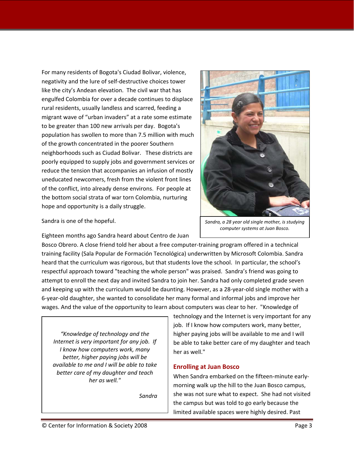For many residents of Bogota's Ciudad Bolivar, violence, negativity and the lure of self‐destructive choices tower like the city's Andean elevation. The civil war that has engulfed Colombia for over a decade continues to displace rural residents, usually landless and scarred, feeding a migrant wave of "urban invaders" at a rate some estimate to be greater than 100 new arrivals per day. Bogota's population has swollen to more than 7.5 million with much of the growth concentrated in the poorer Southern neighborhoods such as Ciudad Bolivar. These districts are poorly equipped to supply jobs and government services or reduce the tension that accompanies an infusion of mostly uneducated newcomers, fresh from the violent front lines of the conflict, into already dense environs. For people at the bottom social strata of war torn Colombia, nurturing hope and opportunity is a daily struggle.



*computer systems at Juan Bosco.*

Sandra is one of the hopeful.

Eighteen months ago Sandra heard about Centro de Juan

Bosco Obrero. A close friend told her about a free computer‐training program offered in a technical training facility (Sala Popular de Formación Tecnológica) underwritten by Microsoft Colombia. Sandra heard that the curriculum was rigorous, but that students love the school. In particular, the school's respectful approach toward "teaching the whole person" was praised. Sandra's friend was going to attempt to enroll the next day and invited Sandra to join her. Sandra had only completed grade seven and keeping up with the curriculum would be daunting. However, as a 28-year-old single mother with a 6‐year‐old daughter, she wanted to consolidate her many formal and informal jobs and improve her wages. And the value of the opportunity to learn about computers was clear to her. "Knowledge of

*"Knowledge of technology and the Internet is very important for any job. If I know how computers work, many better, higher paying jobs will be available to me and I will be able to take better care of my daughter and teach her as well."*

*Sandra* 

technology and the Internet is very important for any job. If I know how computers work, many better, higher paying jobs will be available to me and I will be able to take better care of my daughter and teach her as well."

### **Enrolling at Juan Bosco**

When Sandra embarked on the fifteen-minute earlymorning walk up the hill to the Juan Bosco campus, she was not sure what to expect. She had not visited the campus but was told to go early because the limited available spaces were highly desired. Past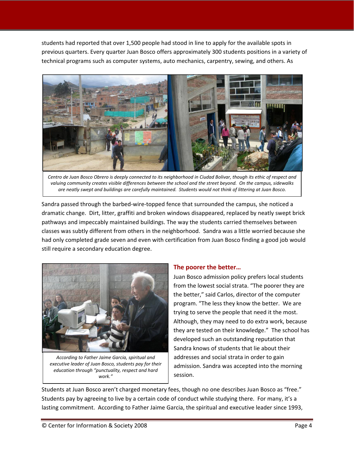students had reported that over 1,500 people had stood in line to apply for the available spots in previous quarters. Every quarter Juan Bosco offers approximately 300 students positions in a variety of technical programs such as computer systems, auto mechanics, carpentry, sewing, and others. As



Centro de Juan Bosco Obrero is deeply connected to its neighborhood in Ciudad Bolivar, though its ethic of respect and valuing community creates visible differences between the school and the street beyond. On the campus, sidewalks are neatly swept and buildings are carefully maintained. Students would not think of littering at Juan Bosco.

Sandra passed through the barbed‐wire‐topped fence that surrounded the campus, she noticed a dramatic change. Dirt, litter, graffiti and broken windows disappeared, replaced by neatly swept brick pathways and impeccably maintained buildings. The way the students carried themselves between classes was subtly different from others in the neighborhood. Sandra was a little worried because she had only completed grade seven and even with certification from Juan Bosco finding a good job would still require a secondary education degree.



*According to Father Jaime Garcia, spiritual and executive leader of Juan Bosco, students pay for their education through "punctuality, respect and hard work."*

### **The poorer the better…**

Juan Bosco admission policy prefers local students from the lowest social strata. "The poorer they are the better," said Carlos, director of the computer program. "The less they know the better. We are trying to serve the people that need it the most. Although, they may need to do extra work, because they are tested on their knowledge." The school has developed such an outstanding reputation that Sandra knows of students that lie about their addresses and social strata in order to gain admission. Sandra was accepted into the morning session.

Students at Juan Bosco aren't charged monetary fees, though no one describes Juan Bosco as "free." Students pay by agreeing to live by a certain code of conduct while studying there. For many, it's a lasting commitment. According to Father Jaime Garcia, the spiritual and executive leader since 1993,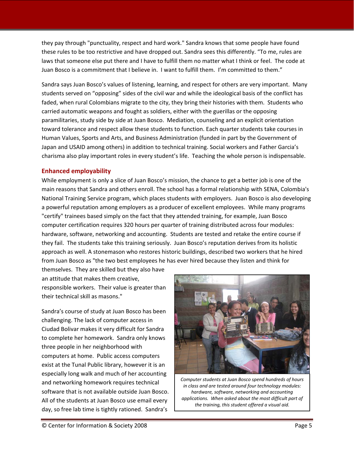they pay through "punctuality, respect and hard work." Sandra knows that some people have found these rules to be too restrictive and have dropped out. Sandra sees this differently. "To me, rules are laws that someone else put there and I have to fulfill them no matter what I think or feel. The code at Juan Bosco is a commitment that I believe in. I want to fulfill them. I'm committed to them."

Sandra says Juan Bosco's values of listening, learning, and respect for others are very important. Many students served on "opposing" sides of the civil war and while the ideological basis of the conflict has faded, when rural Colombians migrate to the city, they bring their histories with them. Students who carried automatic weapons and fought as soldiers, either with the guerillas or the opposing paramilitaries, study side by side at Juan Bosco. Mediation, counseling and an explicit orientation toward tolerance and respect allow these students to function. Each quarter students take courses in Human Values, Sports and Arts, and Business Administration (funded in part by the Government of Japan and USAID among others) in addition to technical training. Social workers and Father Garcia's charisma also play important roles in every student's life. Teaching the whole person is indispensable.

### **Enhanced employability**

While employment is only a slice of Juan Bosco's mission, the chance to get a better job is one of the main reasons that Sandra and others enroll. The school has a formal relationship with SENA, Colombia's National Training Service program, which places students with employers. Juan Bosco is also developing a powerful reputation among employers as a producer of excellent employees. While many programs "certify" trainees based simply on the fact that they attended training, for example, Juan Bosco computer certification requires 320 hours per quarter of training distributed across four modules: hardware, software, networking and accounting. Students are tested and retake the entire course if they fail. The students take this training seriously. Juan Bosco's reputation derives from its holistic approach as well. A stonemason who restores historic buildings, described two workers that he hired from Juan Bosco as "the two best employees he has ever hired because they listen and think for

themselves. They are skilled but they also have an attitude that makes them creative, responsible workers. Their value is greater than their technical skill as masons."

Sandra's course of study at Juan Bosco has been challenging. The lack of computer access in Ciudad Bolivar makes it very difficult for Sandra to complete her homework. Sandra only knows three people in her neighborhood with computers at home. Public access computers exist at the Tunal Public library, however it is an especially long walk and much of her accounting and networking homework requires technical software that is not available outside Juan Bosco. All of the students at Juan Bosco use email every day, so free lab time is tightly rationed. Sandra's



*Computer students at Juan Bosco spend hundreds of hours in class and are tested around four technology modules: hardware, software, networking and accounting applications. When asked about the most difficult part of the training, this student offered a visual aid.*